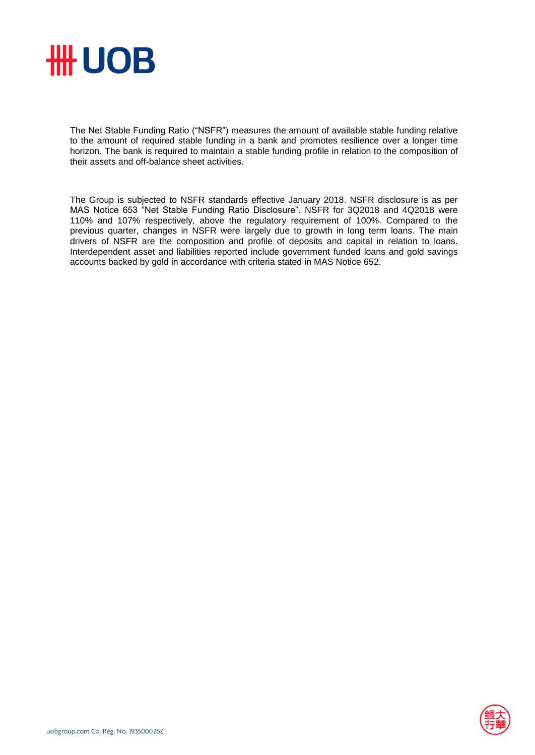

The Net Stable Funding Ratio ("NSFR") measures the amount of available stable funding relative to the amount of required stable funding in a bank and promotes resilience over a longer time horizon. The bank is required to maintain a stable funding profile in relation to the composition of their assets and off-balance sheet activities.

The Group is subjected to NSFR standards effective January 2018. NSFR disclosure is as per MAS Notice 653 "Net Stable Funding Ratio Disclosure". NSFR for 3Q2018 and 4Q2018 were 110% and 107% respectively, above the regulatory requirement of 100%. Compared to the previous quarter, changes in NSFR were largely due to growth in long term loans. The main drivers of NSFR are the composition and profile of deposits and capital in relation to loans. Interdependent asset and liabilities reported include government funded loans and gold savings accounts backed by gold in accordance with criteria stated in MAS Notice 652.

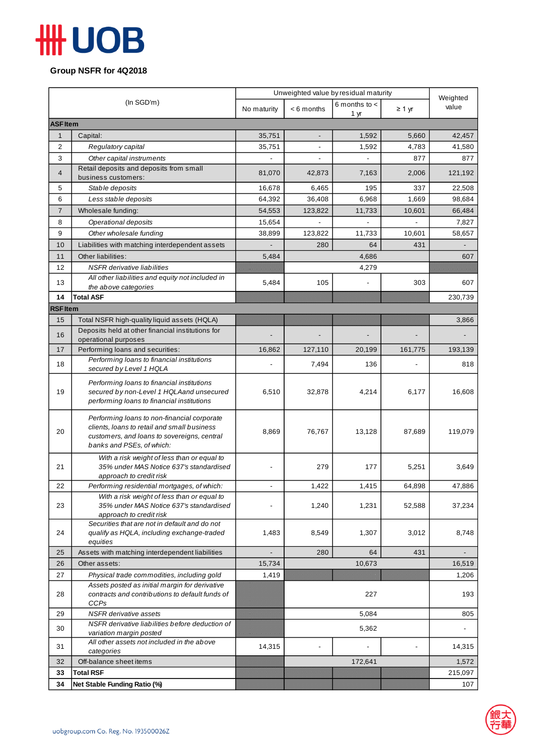## **HH UOB**

**Group NSFR for 4Q2018**

| (In SGD'm)      |                                                                                             | Unweighted value by residual maturity |                |                           |             | Weighted |  |  |  |
|-----------------|---------------------------------------------------------------------------------------------|---------------------------------------|----------------|---------------------------|-------------|----------|--|--|--|
|                 |                                                                                             | No maturity                           | $< 6$ months   | 6 months to $\lt$<br>1 yr | $\geq 1$ yr | value    |  |  |  |
| <b>ASF Item</b> |                                                                                             |                                       |                |                           |             |          |  |  |  |
| $\mathbf{1}$    | Capital:                                                                                    | 35,751                                |                | 1,592                     | 5,660       | 42,457   |  |  |  |
| 2               | Regulatory capital                                                                          | 35,751                                |                | 1,592                     | 4,783       | 41,580   |  |  |  |
| 3               | Other capital instruments                                                                   |                                       |                |                           | 877         | 877      |  |  |  |
| $\overline{4}$  | Retail deposits and deposits from small<br>business customers:                              | 81,070                                | 42,873         | 7,163                     | 2,006       | 121,192  |  |  |  |
| 5               | Stable deposits                                                                             | 16,678                                | 6,465          | 195                       | 337         | 22,508   |  |  |  |
| 6               | Less stable deposits                                                                        | 64,392                                | 36,408         | 6,968                     | 1,669       | 98,684   |  |  |  |
| 7               | Wholesale funding:                                                                          | 54,553                                | 123,822        | 11,733                    | 10,601      | 66,484   |  |  |  |
| 8               | Operational deposits                                                                        | 15,654                                |                |                           |             | 7,827    |  |  |  |
| 9               | Other wholesale funding                                                                     | 38,899                                | 123,822        | 11,733                    | 10,601      | 58,657   |  |  |  |
| 10              | Liabilities with matching interdependent assets                                             |                                       | 280            | 64                        | 431         |          |  |  |  |
| 11              | Other liabilities:                                                                          | 5,484                                 |                | 4,686                     |             | 607      |  |  |  |
| 12              | <b>NSFR</b> derivative liabilities                                                          |                                       | 4,279          |                           |             |          |  |  |  |
| 13              | All other liabilities and equity not included in<br>the above categories                    | 5,484                                 | 105            |                           | 303         | 607      |  |  |  |
| 14              | <b>Total ASF</b>                                                                            |                                       |                |                           |             | 230,739  |  |  |  |
| <b>RSF Item</b> |                                                                                             |                                       |                |                           |             |          |  |  |  |
| 15              | Total NSFR high-quality liquid assets (HQLA)                                                |                                       |                |                           |             | 3,866    |  |  |  |
|                 | Deposits held at other financial institutions for                                           |                                       |                |                           |             |          |  |  |  |
| 16              | operational purposes                                                                        |                                       |                |                           |             |          |  |  |  |
| 17              | Performing loans and securities:                                                            | 16,862                                | 127,110        | 20,199                    | 161,775     | 193,139  |  |  |  |
| 18              | Performing loans to financial institutions<br>secured by Level 1 HQLA                       |                                       | 7,494          | 136                       |             | 818      |  |  |  |
|                 | Performing loans to financial institutions                                                  |                                       |                |                           |             |          |  |  |  |
| 19              | secured by non-Level 1 HQLAand unsecured                                                    | 6,510                                 | 32,878         | 4,214                     | 6,177       | 16,608   |  |  |  |
|                 | performing loans to financial institutions                                                  |                                       |                |                           |             |          |  |  |  |
|                 | Performing loans to non-financial corporate                                                 |                                       |                |                           |             |          |  |  |  |
|                 | clients, loans to retail and small business                                                 |                                       |                |                           |             |          |  |  |  |
| 20              | customers, and loans to sovereigns, central                                                 | 8,869                                 | 76,767         | 13,128                    | 87,689      | 119,079  |  |  |  |
|                 | banks and PSEs, of which:                                                                   |                                       |                |                           |             |          |  |  |  |
|                 | With a risk weight of less than or equal to                                                 |                                       |                |                           |             |          |  |  |  |
| 21              | 35% under MAS Notice 637's standardised<br>approach to credit risk                          |                                       | 279            | 177                       | 5,251       | 3,649    |  |  |  |
| 22              | Performing residential mortgages, of which:                                                 |                                       | 1,422          | 1,415                     | 64,898      | 47,886   |  |  |  |
|                 | With a risk weight of less than or equal to                                                 |                                       |                |                           |             |          |  |  |  |
| 23              | 35% under MAS Notice 637's standardised                                                     |                                       | 1,240          | 1,231                     | 52,588      | 37,234   |  |  |  |
|                 | approach to credit risk                                                                     |                                       |                |                           |             |          |  |  |  |
| 24              | Securities that are not in default and do not<br>qualify as HQLA, including exchange-traded | 1,483                                 | 8,549          | 1,307                     | 3,012       | 8,748    |  |  |  |
|                 | equities                                                                                    |                                       |                |                           |             |          |  |  |  |
| 25              | Assets with matching interdependent liabilities                                             |                                       | 280            | 64                        | 431         |          |  |  |  |
| 26              | Other assets:                                                                               | 15,734                                |                | 10,673                    |             | 16,519   |  |  |  |
| 27              | Physical trade commodities, including gold                                                  | 1,419                                 |                |                           |             | 1,206    |  |  |  |
|                 | Assets posted as initial margin for derivative                                              |                                       |                |                           |             |          |  |  |  |
| 28              | contracts and contributions to default funds of                                             |                                       |                | 227                       |             | 193      |  |  |  |
| 29              | <b>CCPs</b><br><b>NSFR</b> derivative assets                                                |                                       |                | 5,084                     |             | 805      |  |  |  |
|                 | NSFR derivative liabilities before deduction of                                             |                                       |                |                           |             |          |  |  |  |
| 30              | variation margin posted                                                                     |                                       |                | 5,362                     |             |          |  |  |  |
| 31              | All other assets not included in the above<br>categories                                    | 14,315                                | $\blacksquare$ |                           |             | 14,315   |  |  |  |
| 32              | Off-balance sheet items                                                                     |                                       |                | 172,641                   |             | 1,572    |  |  |  |
| 33              | <b>Total RSF</b>                                                                            |                                       |                |                           |             | 215,097  |  |  |  |
| 34              | Net Stable Funding Ratio (%)                                                                |                                       |                |                           |             | 107      |  |  |  |